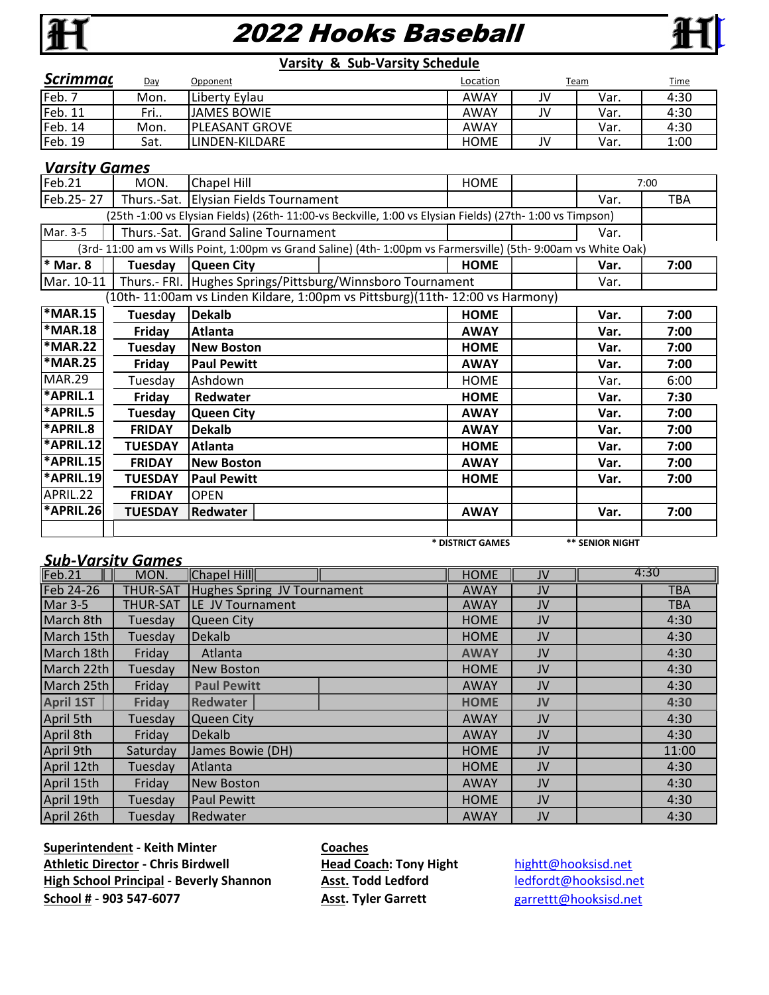

## 2022 Hooks Baseball



| Scrimmac | Day  | Opponent               | Location    |    | Team | Time |
|----------|------|------------------------|-------------|----|------|------|
| Feb.     | Mon. | <b>ILiberty Evlau</b>  | AWAY        | JV | Var. | 4:30 |
| Feb. 11  | Fri  | <b>JJAMES BOWIE</b>    | AWAY        | JV | Var. | 4:30 |
| Feb. 14  | Mon. | <b>IPLEASANT GROVE</b> | AWAY        |    | Var. | 4:30 |
| Feb. 19  | Sat. | <b>ILINDEN-KILDARE</b> | <b>HOME</b> | JV | Var. | 1:00 |

## *Varsity Games*

| Feb.21                                                                                                          | MON.           | Chapel Hill                                                | <b>HOME</b>      |                 | 7:00 |  |
|-----------------------------------------------------------------------------------------------------------------|----------------|------------------------------------------------------------|------------------|-----------------|------|--|
| Feb.25-27                                                                                                       |                | Thurs.-Sat. Elysian Fields Tournament                      |                  | Var.            | TBA  |  |
| (25th -1:00 vs Elysian Fields) (26th- 11:00-vs Beckville, 1:00 vs Elysian Fields) (27th- 1:00 vs Timpson)       |                |                                                            |                  |                 |      |  |
| Mar. 3-5                                                                                                        |                | Thurs.-Sat. Grand Saline Tournament                        |                  | Var.            |      |  |
| (3rd- 11:00 am vs Wills Point, 1:00pm vs Grand Saline) (4th- 1:00pm vs Farmersville) (5th- 9:00am vs White Oak) |                |                                                            |                  |                 |      |  |
| <b>* Mar. 8</b>                                                                                                 | Tuesday        | Queen City                                                 | <b>HOME</b>      | Var.            | 7:00 |  |
| Mar. 10-11                                                                                                      |                | Thurs.- FRI. Hughes Springs/Pittsburg/Winnsboro Tournament |                  | Var.            |      |  |
| (10th-11:00am vs Linden Kildare, 1:00pm vs Pittsburg)(11th-12:00 vs Harmony)                                    |                |                                                            |                  |                 |      |  |
| <b>*MAR.15</b>                                                                                                  | Tuesday        | <b>Dekalb</b>                                              | <b>HOME</b>      | Var.            | 7:00 |  |
| <b>*MAR.18</b>                                                                                                  | Friday         | <b>Atlanta</b>                                             | <b>AWAY</b>      | Var.            | 7:00 |  |
| <b>*MAR.22</b>                                                                                                  | Tuesday        | <b>New Boston</b>                                          | <b>HOME</b>      | Var.            | 7:00 |  |
| <b>*MAR.25</b>                                                                                                  | Friday         | <b>Paul Pewitt</b>                                         | <b>AWAY</b>      | Var.            | 7:00 |  |
| <b>MAR.29</b>                                                                                                   | Tuesday        | Ashdown                                                    | <b>HOME</b>      | Var.            | 6:00 |  |
| *APRIL.1                                                                                                        | Friday         | Redwater                                                   | <b>HOME</b>      | Var.            | 7:30 |  |
| *APRIL.5                                                                                                        | Tuesday        | <b>Queen City</b>                                          | <b>AWAY</b>      | Var.            | 7:00 |  |
| *APRIL.8                                                                                                        | <b>FRIDAY</b>  | <b>Dekalb</b>                                              | <b>AWAY</b>      | Var.            | 7:00 |  |
| *APRIL.12                                                                                                       | <b>TUESDAY</b> | <b>Atlanta</b>                                             | <b>HOME</b>      | Var.            | 7:00 |  |
| *APRIL.15                                                                                                       | <b>FRIDAY</b>  | <b>New Boston</b>                                          | <b>AWAY</b>      | Var.            | 7:00 |  |
| *APRIL.19                                                                                                       | <b>TUESDAY</b> | <b>Paul Pewitt</b>                                         | <b>HOME</b>      | Var.            | 7:00 |  |
| APRIL.22                                                                                                        | <b>FRIDAY</b>  | <b>OPEN</b>                                                |                  |                 |      |  |
| *APRIL.26                                                                                                       | <b>TUESDAY</b> | Redwater                                                   | <b>AWAY</b>      | Var.            | 7:00 |  |
|                                                                                                                 |                |                                                            |                  |                 |      |  |
|                                                                                                                 |                |                                                            | * DISTRICT GAMES | ** SENIOR NIGHT |      |  |

## *Sub-Varsity Games*

| <u> 200 - Latint Samta</u> |                 |                             |             |    |            |
|----------------------------|-----------------|-----------------------------|-------------|----|------------|
| Feb.21                     | MON.            | <b>Chapel Hill</b>          | <b>HOME</b> | JV | 4:30       |
| Feb 24-26                  | <b>THUR-SAT</b> | Hughes Spring JV Tournament | <b>AWAY</b> | JV | <b>TBA</b> |
| <b>Mar 3-5</b>             | THUR-SAT        | LE JV Tournament            | <b>AWAY</b> | JV | <b>TBA</b> |
| March 8th                  | Tuesday         | Queen City                  | <b>HOME</b> | JV | 4:30       |
| March 15th                 | Tuesday         | <b>Dekalb</b>               | <b>HOME</b> | JV | 4:30       |
| March 18th                 | Friday          | Atlanta                     | <b>AWAY</b> | JV | 4:30       |
| March 22th                 | Tuesday         | <b>New Boston</b>           | <b>HOME</b> | JV | 4:30       |
| March 25th                 | Friday          | <b>Paul Pewitt</b>          | <b>AWAY</b> | JV | 4:30       |
| <b>April 1ST</b>           | <b>Friday</b>   | <b>Redwater</b>             | <b>HOME</b> | JV | 4:30       |
| April 5th                  | Tuesday         | Queen City                  | <b>AWAY</b> | JV | 4:30       |
| April 8th                  | Friday          | <b>Dekalb</b>               | <b>AWAY</b> | JV | 4:30       |
| April 9th                  | Saturday        | James Bowie (DH)            | <b>HOME</b> | JV | 11:00      |
| April 12th                 | Tuesday         | Atlanta                     | <b>HOME</b> | JV | 4:30       |
| April 15th                 | Friday          | <b>New Boston</b>           | <b>AWAY</b> | JV | 4:30       |
| April 19th                 | Tuesday         | <b>Paul Pewitt</b>          | <b>HOME</b> | JV | 4:30       |
| April 26th                 | Tuesday         | Redwater                    | <b>AWAY</b> | JV | 4:30       |

**Superintendent - Keith Minter**<br> **Athletic Director - Chris Birdwell Coaches Coaches Coaches Coaches Coaches Coaches Coaches Coaches Coaches Coaches Coaches Coaches Coaches Coaches Athletic Director - Chris Birdwell Head Coach: Tony Hight** *[hightt@hooksisd.net](mailto:hightt@hooksisd.net)*<br> **High School Principal** - Beverly Shannon **Asst. Todd Ledford** *Ledfordt@hooksisd.net* **High School Principal - Beverly Shannon School # - 903 547-6077 Asst. Tyler Garrett** [garrettt@hooksisd.net](mailto:garrettt@hooksisd.net)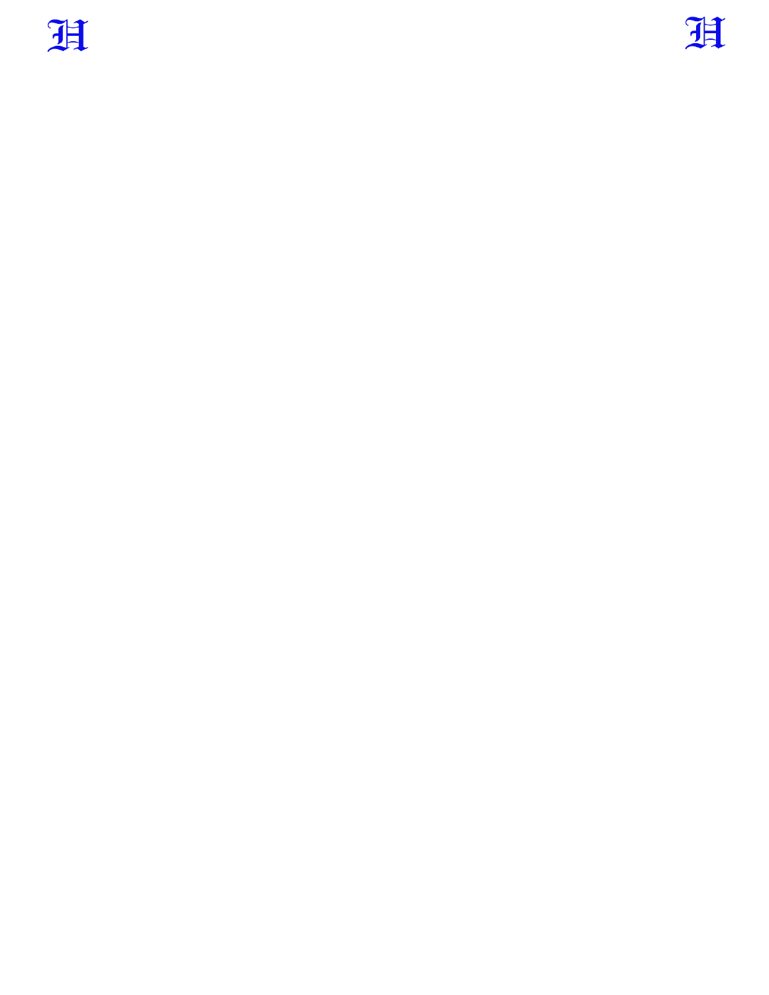诅